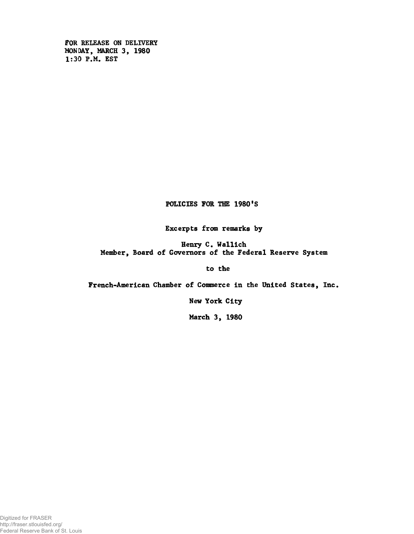FOR RELEASE ON DELIVERY MONDAY, MARCH 3, 1980 1:30 P.M. EST

POLICIES FOR THE 1980'S

Excerpts from remarks by

Henry C. Wallich Member, Board of Governors of the Federal Reserve System

to the

French-American Chamber of Commerce In the United States, Inc.

New York City

March 3, 1980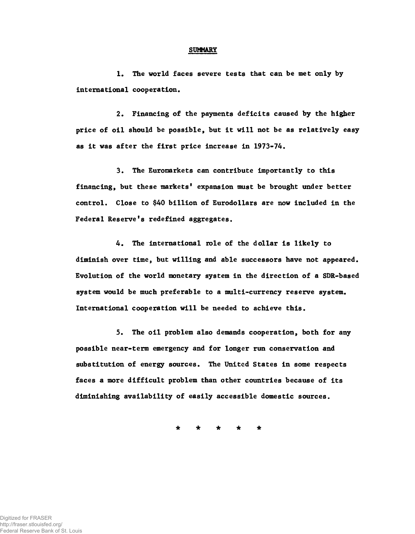#### **SUMMARY**

1. The world faces severe tests that can be met only by International cooperation.

2. Financing of the payments deficits caused by the higher price of oil should be possible, but it will not be as relatively easy as it was after the first price increase in 1973-74.

3. The Euromarkets can contribute importantly to this financing, but these markets' expansion must be brought under better control. Close to \$40 billion of Eurodollars are now included in the Federal Reserve's redefined aggregates.

4. The international role of the dollar is likely to diminish over time, but willing and able successors have not appeared. Evolution of the world monetary system in the direction of a SDR-based system would be much preferable to a multi-currency reserve system. International cooperation will be needed to achieve this.

5. The oil problem also demands cooperation, both for any possible near-term emergency and for longer run conservation and substitution of energy sources. The United States in some respects faces a more difficult problem than other countries because of its diminishing availability of easily accessible domestic sources.

**\* \* \* \* \***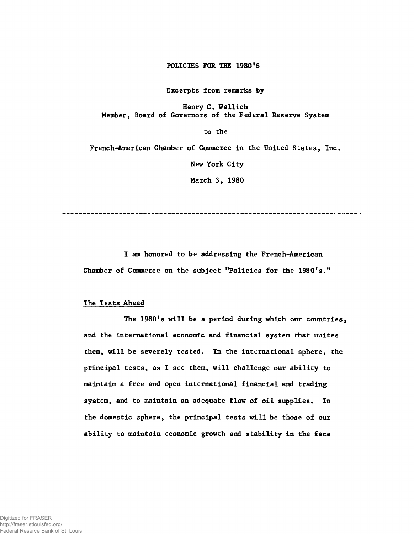## POLICIES FOR THE 1980'S

Excerpts from remarks by

Henry C. Wallich Member, Board of Governors of the Federal Reserve System

to the

French-American Chamber of Commerce in the United States, Inc.

New York City

March 3, 1980

--------------------------------

I am honored to be addressing the French-American Chamber of Commerce on the subject "Policies for the 1980's."

#### The Tests Ahead

The 1980's will be a period during which our countries, and the international economic and financial system that uuites them, will be severely tested. In the international sphere, the principal tests, as I see them, will challenge our ability to maintain a free and open international financial and trading system, and to maintain an adequate flow of oil supplies. In the domestic sphere, the principal tests will be those of our ability to maintain economic growth and stability in the face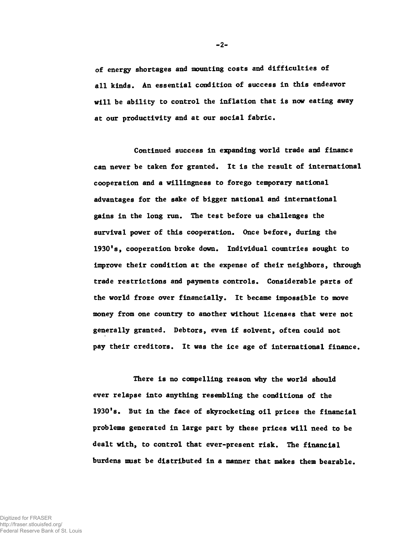of energy shortages and mounting costs and difficulties of all kinds. An essential condition of success in this endeavor will be ability to control the inflation that is now eating away at our productivity and at our social fabric.

Continued success in expanding world trade and finance can never be taken for granted. It is the result of international cooperation and a willingness to forego temporary national advantages for the sake of bigger national and international gains in the long run. The test before us challenges the survival power of this cooperation. Once before, during the 1930's, cooperation broke down. Individual countries sought to improve their condition at the expense of their neighbors, through trade restrictions and payments controls. Considerable parts of the world froze over financially. It became impossible to move money from one country to another without licenses that were not generally granted. Debtors, even if solvent, often could not pay their creditors. It was the ice age of international finance.

There is no compelling reason why the world should ever relapse into anything resembling the conditions of the 1930's. But in the face of skyrocketing oil prices the financial problems generated in large part by these prices will need to be dealt with, to control that ever-present risk. The financial burdens must be distributed in a manner that makes them bearable.

**-2-**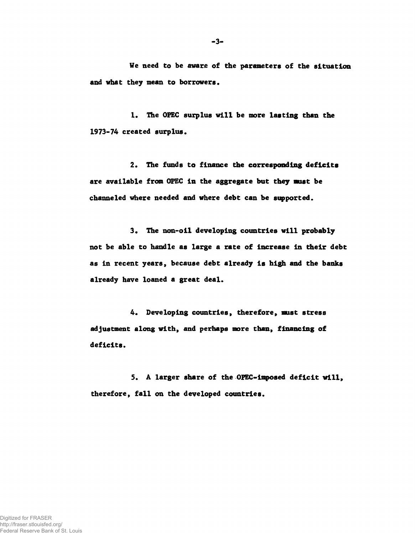**We need to be aware of the parameters of the situation and what they mean to borrowers.**

**1. The OPEC surplus will be more lasting than the 1973-74 created surplus.**

**2. The funds to finance the corresponding deficits** are available from OPEC in the aggregate but they must be **channeled where needed and where debt can be supported.**

3. The non-oil developing countries will probably **not be able to handle as large a rate of increase in their debt as in recent years, because debt already is high and the banks already have loaned a great deal.**

**4. Developing countries, therefore, must stress adjustment along with, and perhaps more than, financing of deficits.**

**5. A larger share of the OPEC-imposed deficit will, therefore, fall on the developed countries.**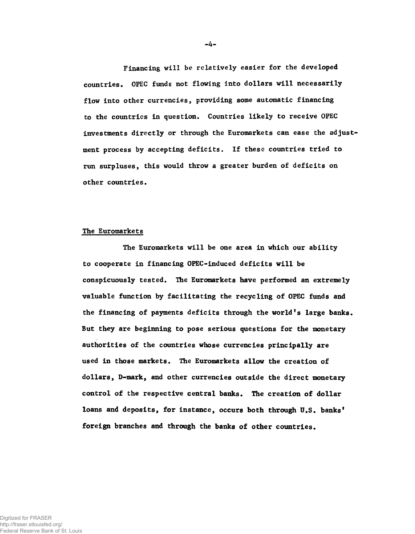Financing will be relatively easier for the developed countries. OPEC funds not flowing into dollars will necessarily flow into other currencies, providing some automatic financing to the countries in question. Countries likely to receive OPEC investments directly or through the Euromarkets can ease the adjustment process by accepting deficits. If these countries tried to run surpluses, this would throw a greater burden of deficits on other countries.

# The Euromarkets

The Euromarkets will be one area in which our ability to cooperate in financing OPEC-induced deficits will be conspicuously tested. The Euromarkets have performed an extremely valuable function by facilitating the recycling of OPEC funds and the financing of payments deficits through the world's large banks. But they are beginning to pose serious questions for the monetary authorities of the countries whose currencies principally are used in those markets. The Euromarkets allow the creation of dollars, D-mark, and other currencies outside the direct monetary control of the respective central banks. The creation of dollar loans and deposits, for instance, occurs both through U.S. banks' foreign branches and through the banks of other countries.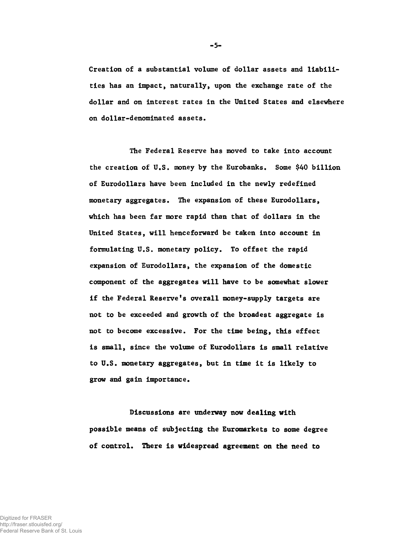Creation of a substantial volume of dollar assets and liabilities has an impact, naturally, upon the exchange rate of the dollar and on interest rates in the United States and elsewhere on dollar-denominated assets.

The Federal Reserve has moved to take into account the creation of U.S. money by the Eurobanks. Some \$40 billion of Eurodollars have been included in the newly redefined monetary aggregates. The expansion of these Eurodollars, which has been far more rapid than that of dollars in the United States, will henceforward be taken into account in formulating U.S. monetary policy. To offset the rapid expansion of Eurodollars, the expansion of the domestic component of the aggregates will have to be somewhat slower if the Federal Reserve's overall money-supply targets are not to be exceeded and growth of the broadest aggregate is not to become excessive. For the time being, this effect is small, since the volume of Eurodollars is small relative to U.S. monetary aggregates, but in time it is likely to grow and gain importance.

Discussions are underway now dealing with possible means of subjecting the Euromarkets to some degree of control. There is widespread agreement on the need to

**-5'**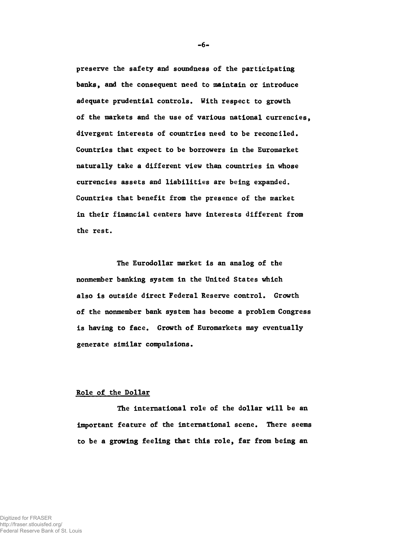preserve the safety and soundness of the participating banks, and the consequent need to maintain or introduce adequate prudential controls. With respect to growth of the markets and the use of various national currencies, divergent interests of countries need to be reconciled. Countries that expect to be borrowers in the Euromarket naturally take a different view than countries in whose currencies assets and liabilities are being expanded. Countries that benefit from the presence of the market in their financial centers have interests different from the rest.

The Eurodollar market is an analog of the nonmember banking system in the United States which also is outside direct Federal Reserve control. Growth of the nonmember bank system has become a problem Congress is having to face. Growth of Euromarkets may eventually generate similar compulsions.

### Role of the Dollar

The international role of the dollar will be an important feature of the international scene. There seems to be a growing feeling that this role, far from being an

**-6-**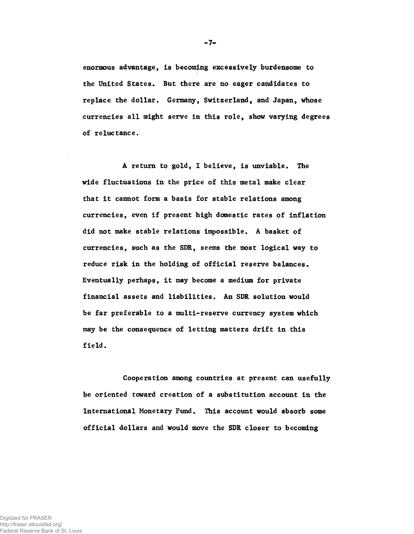enormous advantage, is becoming excessively burdensome to the United States. But there are no eager candidates to replace the dollar. Germany, Switzerland, and Japan, whose currencies all might serve in this role, show varying degrees of reluctance.

A return to gold, I believe, is unviable. The wide fluctuations in the price of this metal make clear that it cannot form a basis for stable relations among currencies, even if present high domestic rates of inflation did not make stable relations impossible. A basket of currencies, such as the SDR, seems the most logical way to reduce risk in the holding of official reserve balances. Eventually perhaps, it may become a medium for private financial assets and liabilities. An SDR solution would be far preferable to a multi-reserve currency system which may be the consequence of letting matters drift in this field.

Cooperation among countries at present can usefully be oriented toward creation of a substitution account in the International Monetary Fund. This account would absorb some official dollars and would move the SDR closer to becoming

**-7**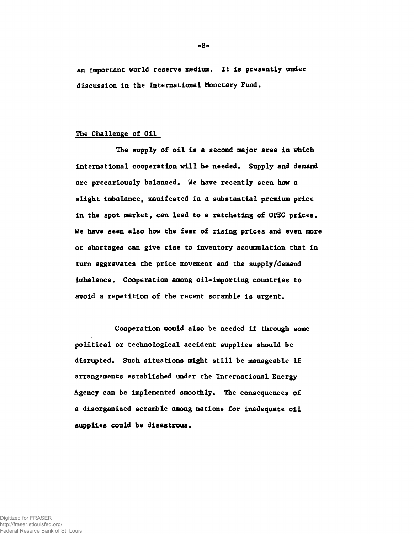an important world reserve medium. It is presently under discussion in the International Monetary Fund.

# The Challenge of Oil

The supply of oil is a second major area in which international cooperation will be needed. Supply and demand are precariously balanced. We have recently seen how a slight imbalance, manifested in a substantial premium price in the spot market, can lead to a ratcheting of OPEC prices. We have seen also how the fear of rising prices and even more or shortages can give rise to inventory accumulation that in turn aggravates the price movement and the supply/demand imbalance. Cooperation among oil-importing countries to avoid a repetition of the recent scramble is urgent.

Cooperation would also be needed if through some political or technological accident supplies should be disrupted. Such situations might still be manageable if arrangements established under the International Energy Agency can be implemented smoothly. The consequences of a disorganized scramble among nations for inadequate oil supplies could be disastrous.

**-8-**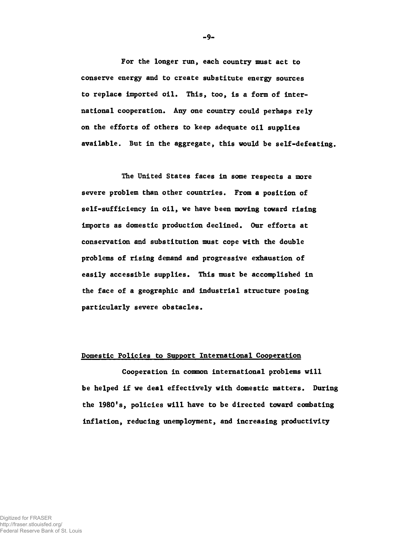For the longer run, each country must act to conserve energy and to create substitute energy sources to replace imported oil. This, too, is a form of international cooperation. Any one country could perhaps rely on the efforts of others to keep adequate oil supplies available. But in the aggregate, this would be self-defeating.

The United States faces in some respects a more severe problem than other countries. From a position of self-sufficiency in oil, we have been moving toward rising imports as domestic production declined. Our efforts at conservation and substitution must cope with the double problems of rising demand and progressive exhaustion of easily accessible supplies. This must be accomplished in the face of a geographic and industrial structure posing particularly severe obstacles.

## Domestic Policies to Support International Cooperation

Cooperation in common international problems will be helped if we deal effectively with domestic matters. During the 1980's, policies will have to be directed toward combating inflation, reducing unemployment, and increasing productivity

**9-**